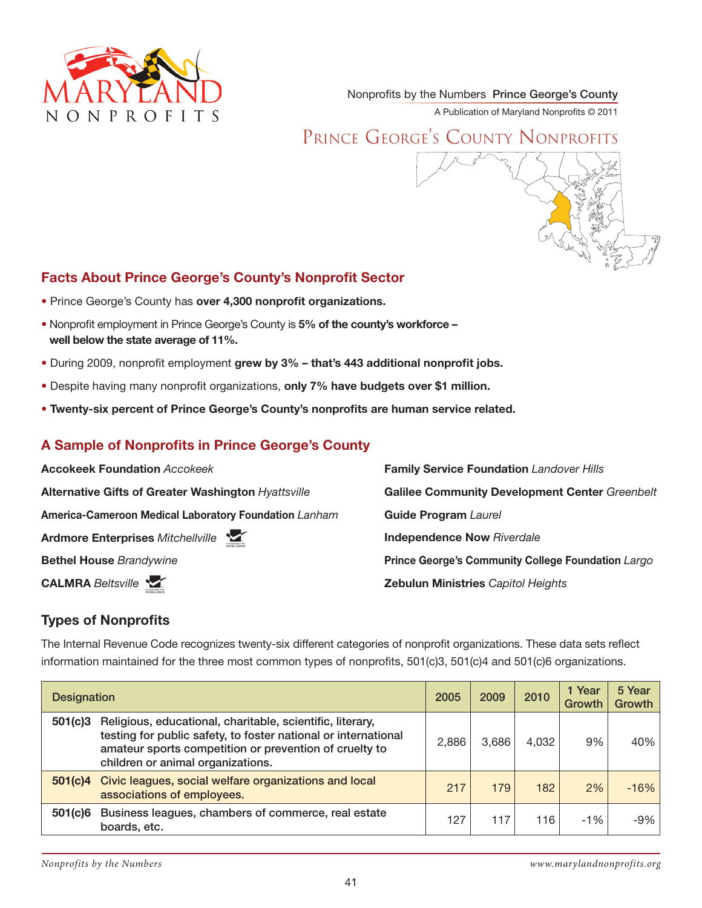

Nonprofits by the Numbers Prince George's County

A Publication of Maryland Nonprofits © 2011

# PRINCE GEORGE'S COUNTY NONPROFITS



## **Facts About Prince George's County's Nonprofit Sector**

- Prince George's County has over 4,300 nonprofit organizations.
- Nonprofit employment in Prince George's County is 5% of the county's workforce **well below the state average of 11%.**
- During 2009, nonprofit employment grew by 3% that's 443 additional nonprofit jobs.
- Despite having many nonprofit organizations, only 7% have budgets over \$1 million.
- Twenty-six percent of Prince George's County's nonprofits are human service related.

### A Sample of Nonprofits in Prince George's County

| <b>Accokeek Foundation Accokeek</b>                   | <b>Family Service Foundation Landover Hills</b>           |
|-------------------------------------------------------|-----------------------------------------------------------|
| Alternative Gifts of Greater Washington Hyattsville   | <b>Galilee Community Development Center Greenbelt</b>     |
| America-Cameroon Medical Laboratory Foundation Lanham | <b>Guide Program Laurel</b>                               |
| <b>M</b><br><b>Ardmore Enterprises Mitchellville</b>  | <b>Independence Now Riverdale</b>                         |
| <b>Bethel House Brandywine</b>                        | <b>Prince George's Community College Foundation Largo</b> |
| <b>CALMRA Beltsville</b>                              | <b>Zebulun Ministries Capitol Heights</b>                 |

### **Types of Nonprofits**

The Internal Revenue Code recognizes twenty-six different categories of nonprofit organizations. These data sets reflect information maintained for the three most common types of nonprofits, 501(c)3, 501(c)4 and 501(c)6 organizations.

| <b>Designation</b> |                                                                                                                                                                                                                            | 2005  | 2009  | 2010  | 1 Year<br>Growth | 5 Year<br>Growth |
|--------------------|----------------------------------------------------------------------------------------------------------------------------------------------------------------------------------------------------------------------------|-------|-------|-------|------------------|------------------|
| 501(c)3            | Religious, educational, charitable, scientific, literary,<br>testing for public safety, to foster national or international<br>amateur sports competition or prevention of cruelty to<br>children or animal organizations. | 2,886 | 3,686 | 4,032 | 9%               | 40%              |
| 501(c)4            | Civic leagues, social welfare organizations and local<br>associations of employees.                                                                                                                                        | 217   | 179   | 182   | 2%               | $-16%$           |
| 501(c)6            | Business leagues, chambers of commerce, real estate<br>boards, etc.                                                                                                                                                        | 127   | 117   | 116   | $-1%$            | -9%              |